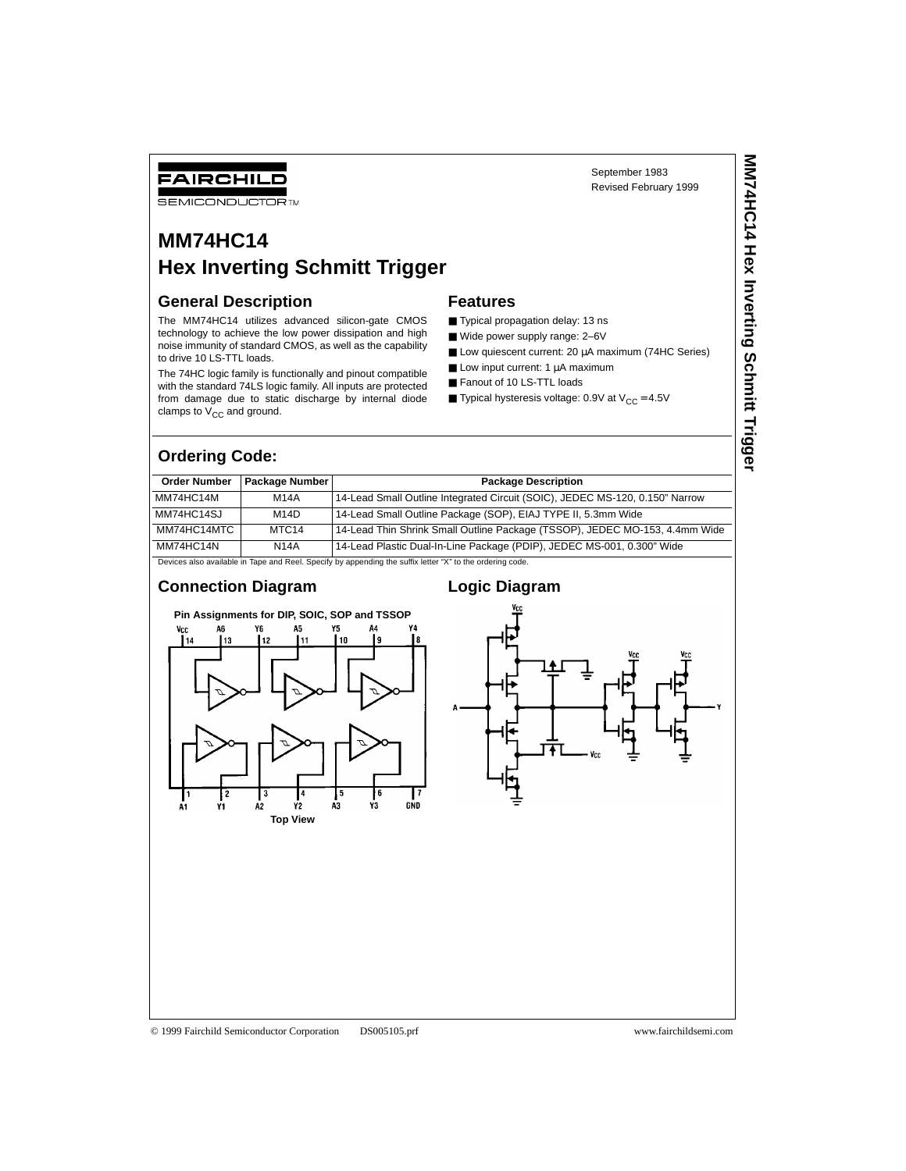# FAIRCHILD

**SEMICONDUCTOR TM** 

# **MM74HC14 Hex Inverting Schmitt Trigger**

#### **General Description**

The MM74HC14 utilizes advanced silicon-gate CMOS technology to achieve the low power dissipation and high noise immunity of standard CMOS, as well as the capability to drive 10 LS-TTL loads.

The 74HC logic family is functionally and pinout compatible with the standard 74LS logic family. All inputs are protected from damage due to static discharge by internal diode clamps to  $V_{CC}$  and ground.

#### **Features**

- Typical propagation delay: 13 ns
- Wide power supply range: 2-6V
- Low quiescent current: 20 µA maximum (74HC Series)

September 1983 Revised February 1999

- $\blacksquare$  Low input current: 1  $\mu$ A maximum
- Fanout of 10 LS-TTL loads
- **Typical hysteresis voltage: 0.9V at**  $V_{CC} = 4.5V$

### **Ordering Code:**

| <b>Order Number</b> | Package Number    | <b>Package Description</b>                                                   |
|---------------------|-------------------|------------------------------------------------------------------------------|
| MM74HC14M           | <b>M14A</b>       | 14-Lead Small Outline Integrated Circuit (SOIC), JEDEC MS-120, 0.150" Narrow |
| MM74HC14SJ          | M14D              | 14-Lead Small Outline Package (SOP), EIAJ TYPE II, 5.3mm Wide                |
| MM74HC14MTC         | MTC <sub>14</sub> | 14-Lead Thin Shrink Small Outline Package (TSSOP), JEDEC MO-153, 4.4mm Wide  |
| MM74HC14N           | <b>N14A</b>       | 14-Lead Plastic Dual-In-Line Package (PDIP), JEDEC MS-001, 0.300" Wide       |

es also available in Tape and Reel. Specify by appending the suffix letter "X" to the ordering code.

#### **Connection Diagram**







© 1999 Fairchild Semiconductor Corporation DS005105.prf www.fairchildsemi.com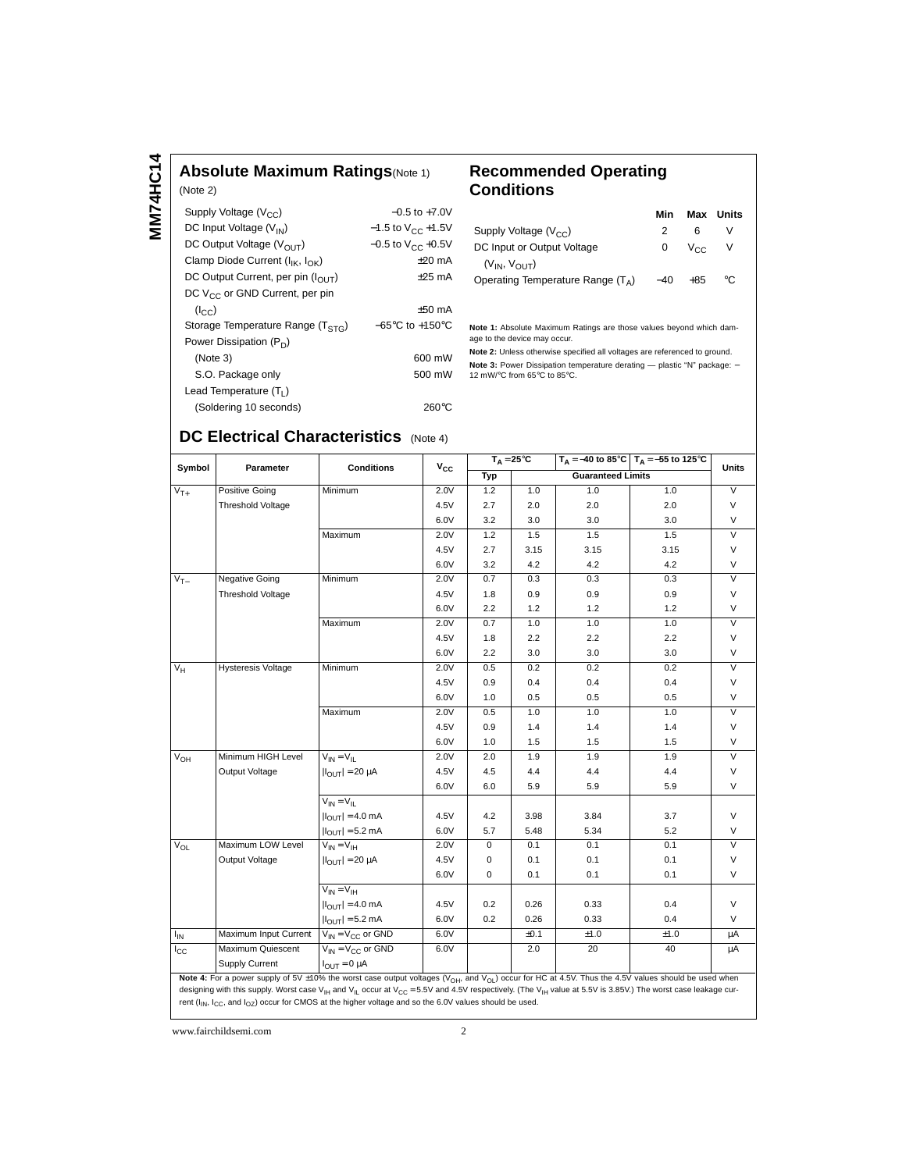**MM74HC14 MM74HC14**

## **Absolute Maximum Ratings**(Note 1)

| (Note 2)                                    |                                     |
|---------------------------------------------|-------------------------------------|
| Supply Voltage $(V_{CC})$                   | $-0.5$ to $+7.0V$                   |
| DC Input Voltage (V <sub>IN</sub> )         | $-1.5$ to $V_{CC}$ +1.5V            |
| DC Output Voltage ( $V_{\Omega I}$ )        | $-0.5$ to $V_{CC}$ +0.5V            |
| Clamp Diode Current ( $I_{IK}$ , $I_{OK}$ ) | $+20$ mA                            |
| DC Output Current, per pin (IOUT)           | $+25$ mA                            |
| DC $V_{CC}$ or GND Current, per pin         |                                     |
| (I <sub>CC</sub> )                          | $+50$ mA                            |
| Storage Temperature Range $(TSTG)$          | $-65^{\circ}$ C to $+150^{\circ}$ C |
| Power Dissipation $(P_D)$                   |                                     |
| (Note 3)                                    | 600 mW                              |
| S.O. Package only                           | 500 mW                              |
| Lead Temperature $(T_1)$                    |                                     |
| (Soldering 10 seconds)                      | 260°C                               |

### **Recommended Operating Conditions**

|                                     | Min   | Max             | Units |
|-------------------------------------|-------|-----------------|-------|
| Supply Voltage $(V_{CC})$           |       | 6               | v     |
| DC Input or Output Voltage          | 0     | V <sub>CC</sub> | V     |
| $(V_{IN}, V_{OIII})$                |       |                 |       |
| Operating Temperature Range $(T_A)$ | $-40$ | $+85$           | °C    |

**Note 1:** Absolute Maximum Ratings are those values beyond which damage to the device may occur.

**Note 2:** Unless otherwise specified all voltages are referenced to ground. **Note 3:** Power Dissipation temperature derating — plastic "N" package: –<br>12 mW/°C from 65°C to 85°C.

# **DC Electrical Characteristics** (Note 4)

| Symbol       | Parameter                 | <b>Conditions</b>           | $V_{CC}$ | $T_A = 25^{\circ}C$ |      |                          | $T_A = -40$ to 85°C $T_A = -55$ to 125°C | <b>Units</b>            |
|--------------|---------------------------|-----------------------------|----------|---------------------|------|--------------------------|------------------------------------------|-------------------------|
|              |                           |                             |          | Typ                 |      | <b>Guaranteed Limits</b> |                                          |                         |
| $V_{T+}$     | <b>Positive Going</b>     | Minimum                     | 2.0V     | 1.2                 | 1.0  | 1.0                      | 1.0                                      | $\vee$                  |
|              | Threshold Voltage         |                             | 4.5V     | 2.7                 | 2.0  | 2.0                      | 2.0                                      | $\vee$                  |
|              |                           |                             | 6.0V     | 3.2                 | 3.0  | 3.0                      | 3.0                                      | $\vee$                  |
|              |                           | Maximum                     | 2.0V     | 1.2                 | 1.5  | 1.5                      | 1.5                                      | $\overline{\mathsf{v}}$ |
|              |                           |                             | 4.5V     | 2.7                 | 3.15 | 3.15                     | 3.15                                     | $\vee$                  |
|              |                           |                             | 6.0V     | 3.2                 | 4.2  | 4.2                      | 4.2                                      | $\vee$                  |
| $V_{T-}$     | <b>Negative Going</b>     | Minimum                     | 2.0V     | 0.7                 | 0.3  | 0.3                      | 0.3                                      | $\overline{V}$          |
|              | Threshold Voltage         |                             | 4.5V     | 1.8                 | 0.9  | 0.9                      | 0.9                                      | $\vee$                  |
|              |                           |                             | 6.0V     | 2.2                 | 1.2  | 1.2                      | 1.2                                      | $\vee$                  |
|              |                           | Maximum                     | 2.0V     | 0.7                 | 1.0  | 1.0                      | 1.0                                      | $\overline{\mathsf{v}}$ |
|              |                           |                             | 4.5V     | 1.8                 | 2.2  | 2.2                      | 2.2                                      | $\vee$                  |
|              |                           |                             | 6.0V     | 2.2                 | 3.0  | 3.0                      | 3.0                                      | $\vee$                  |
| $V_H$        | <b>Hysteresis Voltage</b> | Minimum                     | 2.0V     | 0.5                 | 0.2  | 0.2                      | 0.2                                      | $\overline{\mathsf{v}}$ |
|              |                           |                             | 4.5V     | 0.9                 | 0.4  | 0.4                      | 0.4                                      | $\vee$                  |
|              |                           |                             | 6.0V     | 1.0                 | 0.5  | 0.5                      | 0.5                                      | V                       |
|              |                           | Maximum                     | 2.0V     | 0.5                 | 1.0  | 1.0                      | 1.0                                      | $\overline{\mathsf{v}}$ |
|              |                           |                             | 4.5V     | 0.9                 | 1.4  | 1.4                      | 1.4                                      | $\vee$                  |
|              |                           |                             | 6.0V     | 1.0                 | 1.5  | 1.5                      | 1.5                                      | $\vee$                  |
| $V_{OH}$     | Minimum HIGH Level        | $V_{IN} = V_{II}$           | 2.0V     | 2.0                 | 1.9  | 1.9                      | 1.9                                      | $\overline{\mathsf{v}}$ |
|              | Output Voltage            | $ I_{OUT}  = 20 \mu A$      | 4.5V     | 4.5                 | 4.4  | 4.4                      | 4.4                                      | $\vee$                  |
|              |                           |                             | 6.0V     | 6.0                 | 5.9  | 5.9                      | 5.9                                      | $\vee$                  |
|              |                           | $V_{IN} = V_{IL}$           |          |                     |      |                          |                                          |                         |
|              |                           | $ I_{\text{OUT}}  = 4.0$ mA | 4.5V     | 4.2                 | 3.98 | 3.84                     | 3.7                                      | $\vee$                  |
|              |                           | $ I_{OUT}  = 5.2$ mA        | 6.0V     | 5.7                 | 5.48 | 5.34                     | 5.2                                      | $\vee$                  |
| $V_{OL}$     | Maximum LOW Level         | $V_{IN} = V_{IH}$           | 2.0V     | $\mathbf 0$         | 0.1  | 0.1                      | 0.1                                      | $\overline{\mathsf{v}}$ |
|              | Output Voltage            | $ I_{OUT}  = 20 \mu A$      | 4.5V     | 0                   | 0.1  | 0.1                      | 0.1                                      | $\vee$                  |
|              |                           |                             | 6.0V     | 0                   | 0.1  | 0.1                      | 0.1                                      | V                       |
|              |                           | $V_{IN} = V_{IH}$           |          |                     |      |                          |                                          |                         |
|              |                           | $ I_{OUT}  = 4.0$ mA        | 4.5V     | 0.2                 | 0.26 | 0.33                     | 0.4                                      | $\vee$                  |
|              |                           | $ I_{OUT}  = 5.2$ mA        | 6.0V     | 0.2                 | 0.26 | 0.33                     | 0.4                                      | V                       |
| $I_{IN}$     | Maximum Input Current     | $V_{IN} = V_{CC}$ or GND    | 6.0V     |                     | ±0.1 | ±1.0                     | ±1.0                                     | μA                      |
| $I_{\rm CC}$ | Maximum Quiescent         | $V_{IN} = V_{CC}$ or GND    | 6.0V     |                     | 2.0  | 20                       | 40                                       | μA                      |
|              | Supply Current            | $I_{OUT} = 0 \mu A$         |          |                     |      |                          |                                          |                         |

Note 4: For a power supply of 5V ±10% the worst case output voltages (V<sub>OH</sub>, and V<sub>OL</sub>) occur for HC at 4.5V. Thus the 4.5V values should be used when designing with this supply. Worst case V<sub>IH</sub> and V<sub>IL</sub> occur at V<sub>CC</sub> = 5.5V and 4.5V respectively. (The V<sub>IH</sub> value at 5.5V is 3.85V.) The worst case leakage current ( $I_{IN}$ ,  $I_{CC}$ , and  $I_{OZ}$ ) occur for CMOS at the higher voltage and so the 6.0V values should be used.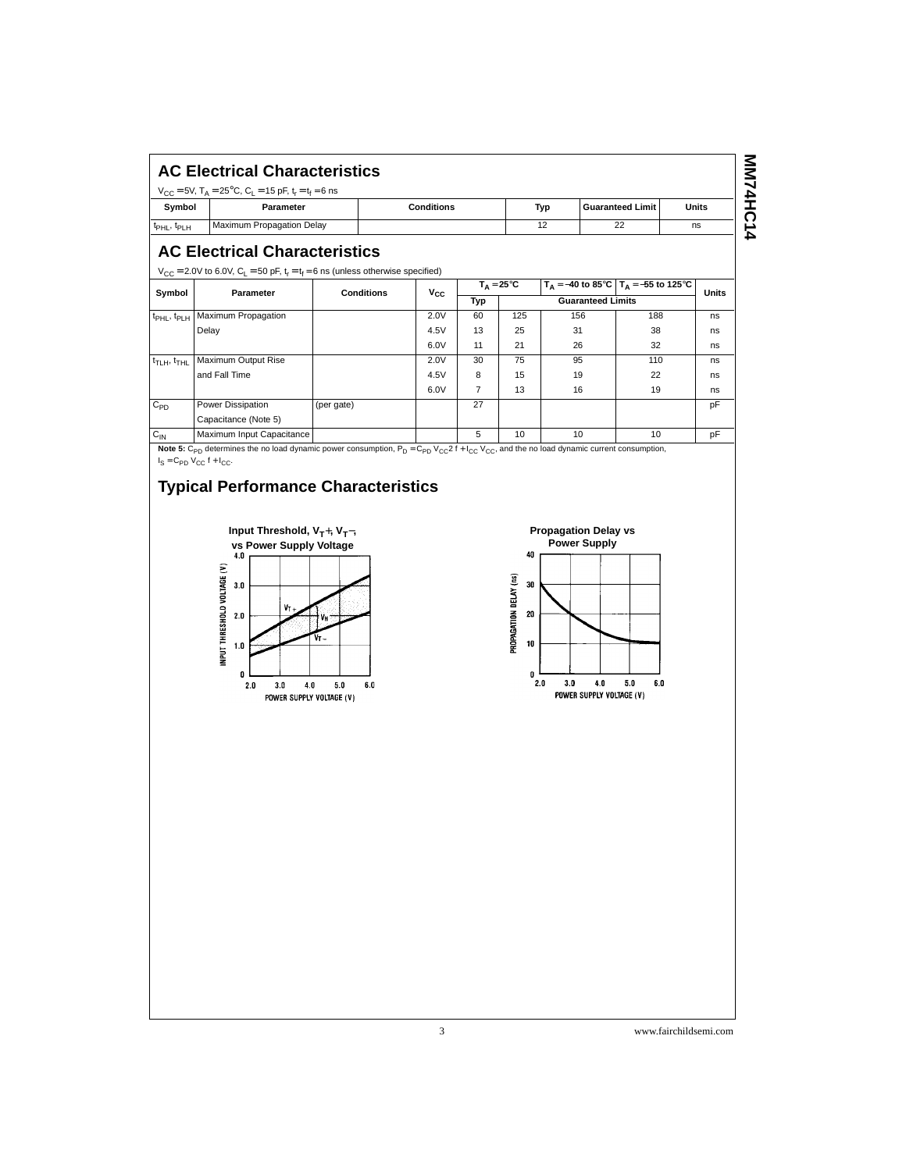| <b>AC Electrical Characteristics</b> |                                                                                                                                |                   |     |                         |       |  |  |
|--------------------------------------|--------------------------------------------------------------------------------------------------------------------------------|-------------------|-----|-------------------------|-------|--|--|
| Symbol                               | $V_{CC}$ = 5V, T <sub>A</sub> = 25 <sup>o</sup> C, C <sub>1</sub> = 15 pF, t <sub>r</sub> = t <sub>f</sub> = 6 ns<br>Parameter | <b>Conditions</b> | Typ | <b>Guaranteed Limit</b> | Units |  |  |
| t <sub>PHL</sub> , t <sub>PLH</sub>  | Maximum Propagation Delay                                                                                                      |                   | 12  | 22                      | ns    |  |  |
|                                      |                                                                                                                                |                   |     |                         |       |  |  |

## **AC Electrical Characteristics**

 $V_{CC}$  = 2.0V to 6.0V, C<sub>L</sub> = 50 pF, t<sub>r</sub> = t<sub>f</sub> = 6 ns (unless otherwise specified)

| ັ                                   | Parameter                 | <b>Conditions</b> | $V_{CC}$ | $T_{\Delta} = 25^{\circ}C$ |                          |     | $T_A = -40$ to 85°C   $T_A = -55$ to 125°C |              |
|-------------------------------------|---------------------------|-------------------|----------|----------------------------|--------------------------|-----|--------------------------------------------|--------------|
| Symbol                              |                           |                   |          | Typ                        | <b>Guaranteed Limits</b> |     |                                            | <b>Units</b> |
| t <sub>PHL</sub> , t <sub>PLH</sub> | Maximum Propagation       |                   | 2.0V     | 60                         | 125                      | 156 | 188                                        | ns           |
|                                     | Delay                     |                   | 4.5V     | 13                         | 25                       | 31  | 38                                         | ns           |
|                                     |                           |                   | 6.0V     | 11                         | 21                       | 26  | 32                                         | ns           |
| t <sub>TLH</sub> , t <sub>THL</sub> | Maximum Output Rise       |                   | 2.0V     | 30                         | 75                       | 95  | 110                                        | ns           |
|                                     | and Fall Time             |                   | 4.5V     | 8                          | 15                       | 19  | 22                                         | ns           |
|                                     |                           |                   | 6.0V     | 7                          | 13                       | 16  | 19                                         | ns           |
| $C_{PD}$                            | Power Dissipation         | (per gate)        |          | 27                         |                          |     |                                            | pF           |
|                                     | Capacitance (Note 5)      |                   |          |                            |                          |     |                                            |              |
| $C_{\text{IN}}$                     | Maximum Input Capacitance |                   |          | 5                          | 10                       | 10  | 10                                         | pF           |

**Note 5:**  $C_{PD}$  determines the no load dynamic power consumption,  $P_D = C_{PD}$   $V_{CC}2 f + I_{CC}$   $V_{CC}$ , and the no load dynamic current consumption,  $I_S = C_{PD} V_{CC} f + I_{CC}.$ 

# **Typical Performance Characteristics**



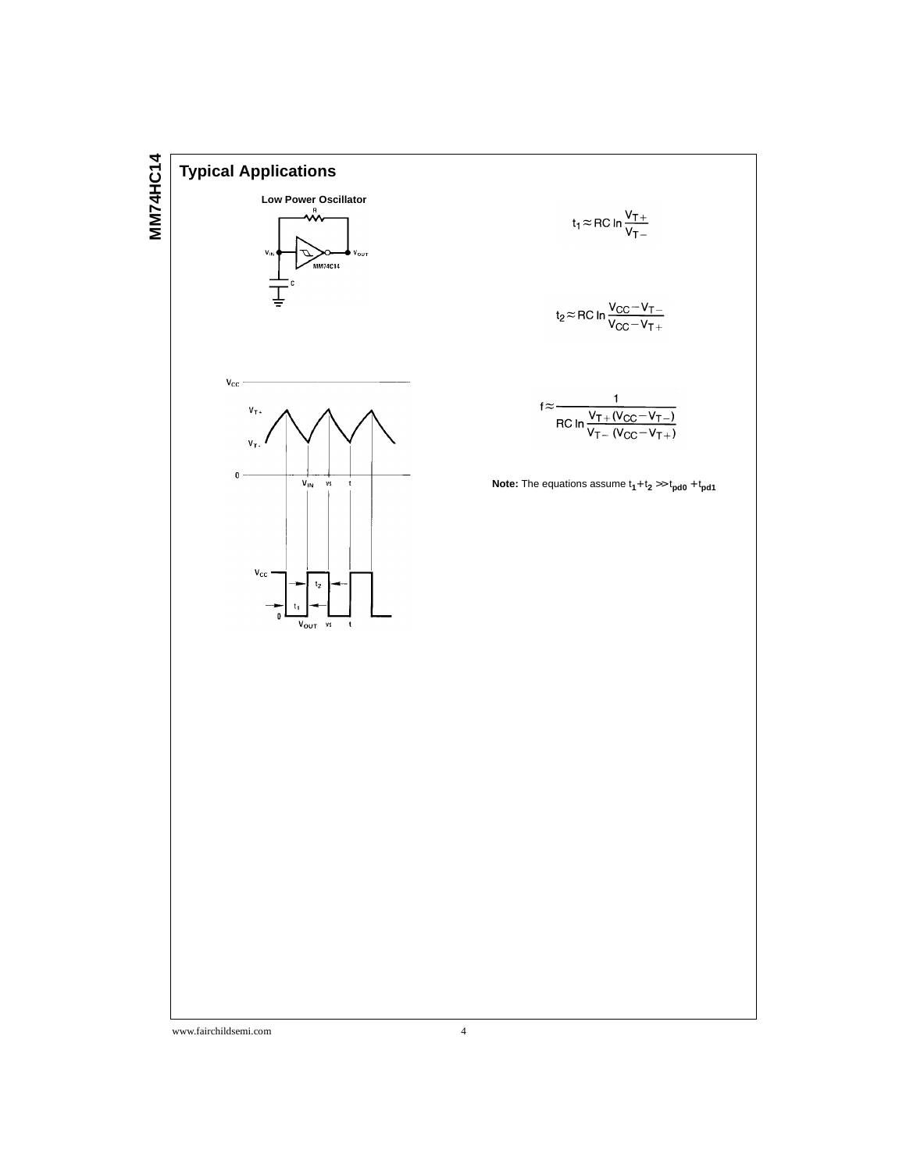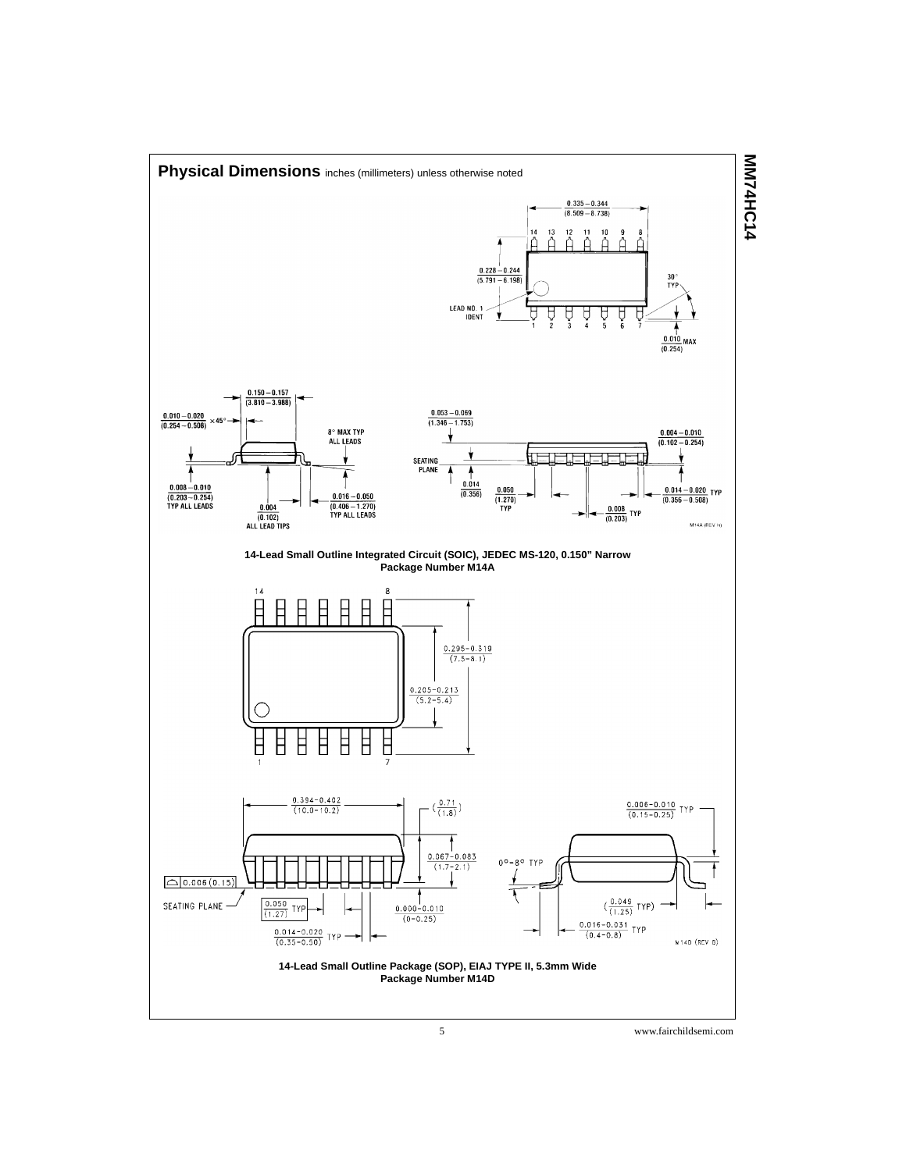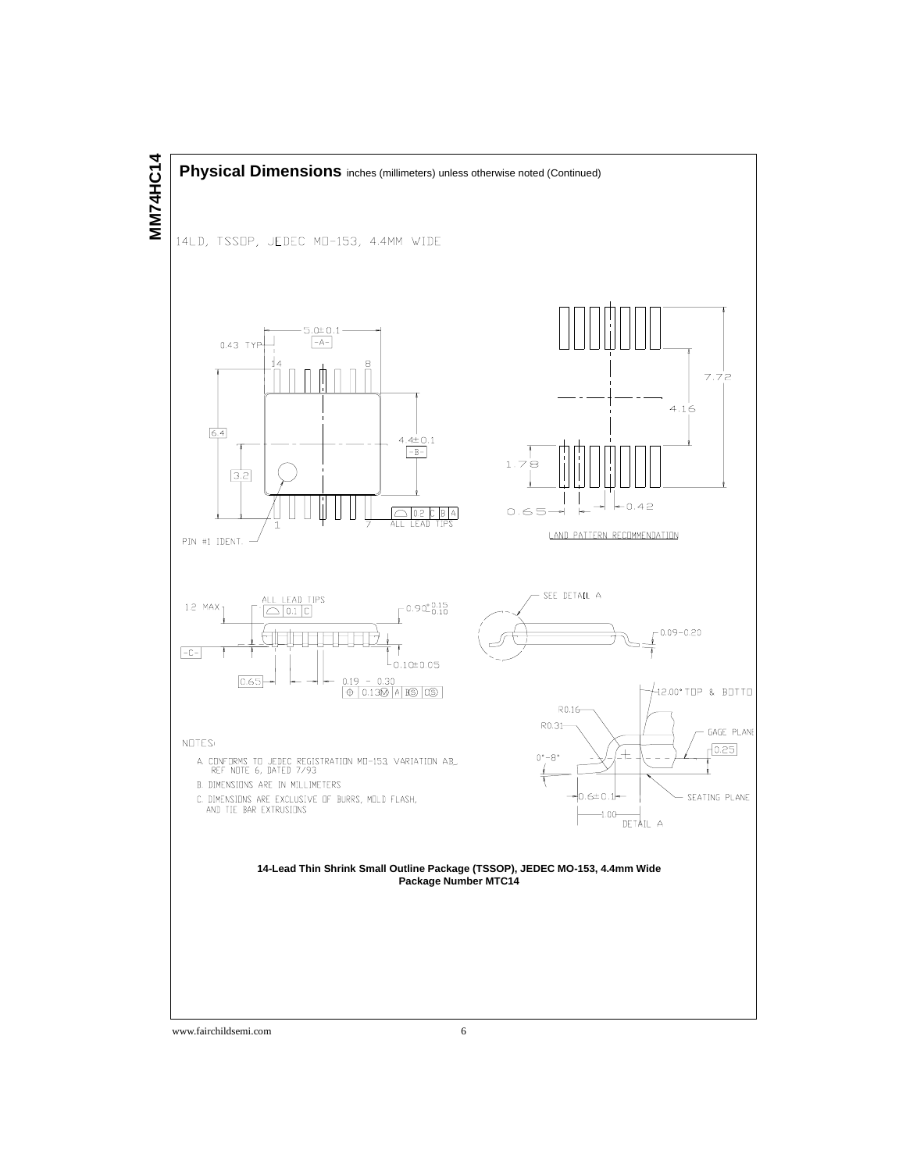